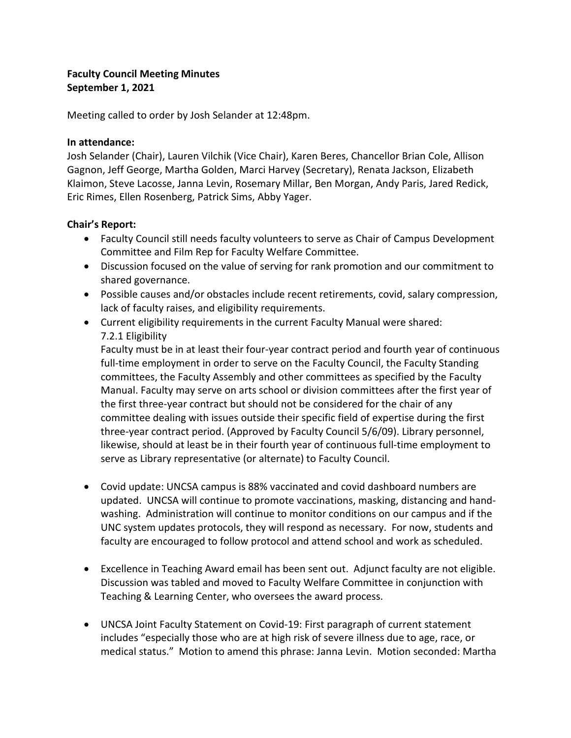## **Faculty Council Meeting Minutes September 1, 2021**

Meeting called to order by Josh Selander at 12:48pm.

#### **In attendance:**

Josh Selander (Chair), Lauren Vilchik (Vice Chair), Karen Beres, Chancellor Brian Cole, Allison Gagnon, Jeff George, Martha Golden, Marci Harvey (Secretary), Renata Jackson, Elizabeth Klaimon, Steve Lacosse, Janna Levin, Rosemary Millar, Ben Morgan, Andy Paris, Jared Redick, Eric Rimes, Ellen Rosenberg, Patrick Sims, Abby Yager.

#### **Chair's Report:**

- Faculty Council still needs faculty volunteers to serve as Chair of Campus Development Committee and Film Rep for Faculty Welfare Committee.
- Discussion focused on the value of serving for rank promotion and our commitment to shared governance.
- Possible causes and/or obstacles include recent retirements, covid, salary compression, lack of faculty raises, and eligibility requirements.
- Current eligibility requirements in the current Faculty Manual were shared: 7.2.1 Eligibility

Faculty must be in at least their four-year contract period and fourth year of continuous full-time employment in order to serve on the Faculty Council, the Faculty Standing committees, the Faculty Assembly and other committees as specified by the Faculty Manual. Faculty may serve on arts school or division committees after the first year of the first three-year contract but should not be considered for the chair of any committee dealing with issues outside their specific field of expertise during the first three-year contract period. (Approved by Faculty Council 5/6/09). Library personnel, likewise, should at least be in their fourth year of continuous full-time employment to serve as Library representative (or alternate) to Faculty Council.

- Covid update: UNCSA campus is 88% vaccinated and covid dashboard numbers are updated. UNCSA will continue to promote vaccinations, masking, distancing and handwashing. Administration will continue to monitor conditions on our campus and if the UNC system updates protocols, they will respond as necessary. For now, students and faculty are encouraged to follow protocol and attend school and work as scheduled.
- Excellence in Teaching Award email has been sent out. Adjunct faculty are not eligible. Discussion was tabled and moved to Faculty Welfare Committee in conjunction with Teaching & Learning Center, who oversees the award process.
- UNCSA Joint Faculty Statement on Covid-19: First paragraph of current statement includes "especially those who are at high risk of severe illness due to age, race, or medical status." Motion to amend this phrase: Janna Levin. Motion seconded: Martha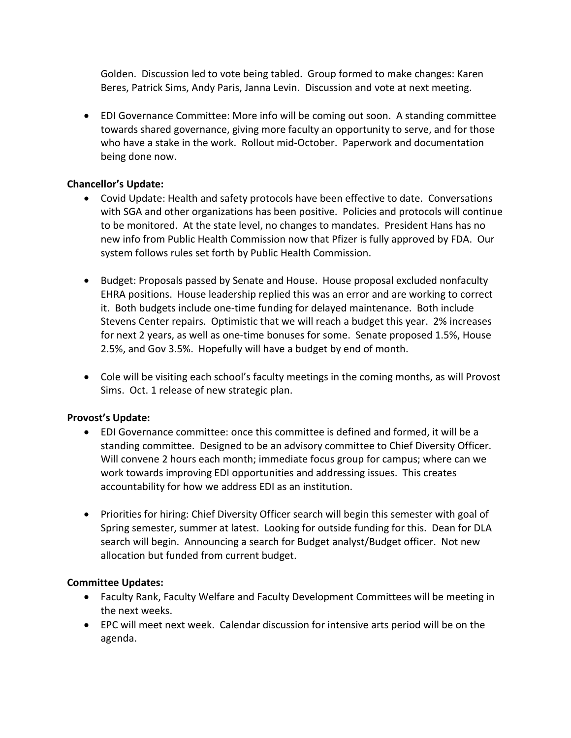Golden. Discussion led to vote being tabled. Group formed to make changes: Karen Beres, Patrick Sims, Andy Paris, Janna Levin. Discussion and vote at next meeting.

• EDI Governance Committee: More info will be coming out soon. A standing committee towards shared governance, giving more faculty an opportunity to serve, and for those who have a stake in the work. Rollout mid-October. Paperwork and documentation being done now.

### **Chancellor's Update:**

- Covid Update: Health and safety protocols have been effective to date. Conversations with SGA and other organizations has been positive. Policies and protocols will continue to be monitored. At the state level, no changes to mandates. President Hans has no new info from Public Health Commission now that Pfizer is fully approved by FDA. Our system follows rules set forth by Public Health Commission.
- Budget: Proposals passed by Senate and House. House proposal excluded nonfaculty EHRA positions. House leadership replied this was an error and are working to correct it. Both budgets include one-time funding for delayed maintenance. Both include Stevens Center repairs. Optimistic that we will reach a budget this year. 2% increases for next 2 years, as well as one-time bonuses for some. Senate proposed 1.5%, House 2.5%, and Gov 3.5%. Hopefully will have a budget by end of month.
- Cole will be visiting each school's faculty meetings in the coming months, as will Provost Sims. Oct. 1 release of new strategic plan.

# **Provost's Update:**

- EDI Governance committee: once this committee is defined and formed, it will be a standing committee. Designed to be an advisory committee to Chief Diversity Officer. Will convene 2 hours each month; immediate focus group for campus; where can we work towards improving EDI opportunities and addressing issues. This creates accountability for how we address EDI as an institution.
- Priorities for hiring: Chief Diversity Officer search will begin this semester with goal of Spring semester, summer at latest. Looking for outside funding for this. Dean for DLA search will begin. Announcing a search for Budget analyst/Budget officer. Not new allocation but funded from current budget.

# **Committee Updates:**

- Faculty Rank, Faculty Welfare and Faculty Development Committees will be meeting in the next weeks.
- EPC will meet next week. Calendar discussion for intensive arts period will be on the agenda.